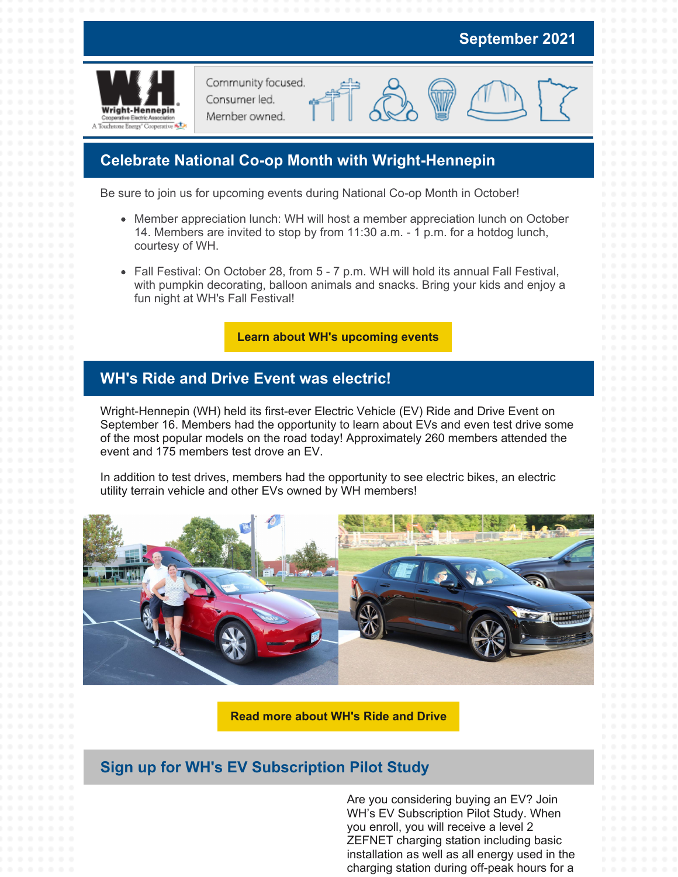

### **Celebrate National Co-op Month with Wright-Hennepin**

Be sure to join us for upcoming events during National Co-op Month in October!

- Member appreciation lunch: WH will host a member appreciation lunch on October 14. Members are invited to stop by from 11:30 a.m. - 1 p.m. for a hotdog lunch, courtesy of WH.
- Fall Festival: On October 28, from 5 7 p.m. WH will hold its annual Fall Festival, with pumpkin decorating, balloon animals and snacks. Bring your kids and enjoy a fun night at WH's Fall Festival!

**Learn about WH's [upcoming](https://www.whe.org/about/news-events/events.html) events**

### **WH's Ride and Drive Event was electric!**

Wright-Hennepin (WH) held its first-ever Electric Vehicle (EV) Ride and Drive Event on September 16. Members had the opportunity to learn about EVs and even test drive some of the most popular models on the road today! Approximately 260 members attended the event and 175 members test drove an EV.

In addition to test drives, members had the opportunity to see electric bikes, an electric utility terrain vehicle and other EVs owned by WH members!



**Read more [about](https://www.whe.org/assets/documents/news-releases/2021-ride-and-drive-nr.pdf) WH's Ride and Drive**

### **Sign up for WH's EV Subscription Pilot Study**

Are you considering buying an EV? Join WH's EV Subscription Pilot Study. When you enroll, you will receive a level 2 ZEFNET charging station including basic installation as well as all energy used in the charging station during off-peak hours for a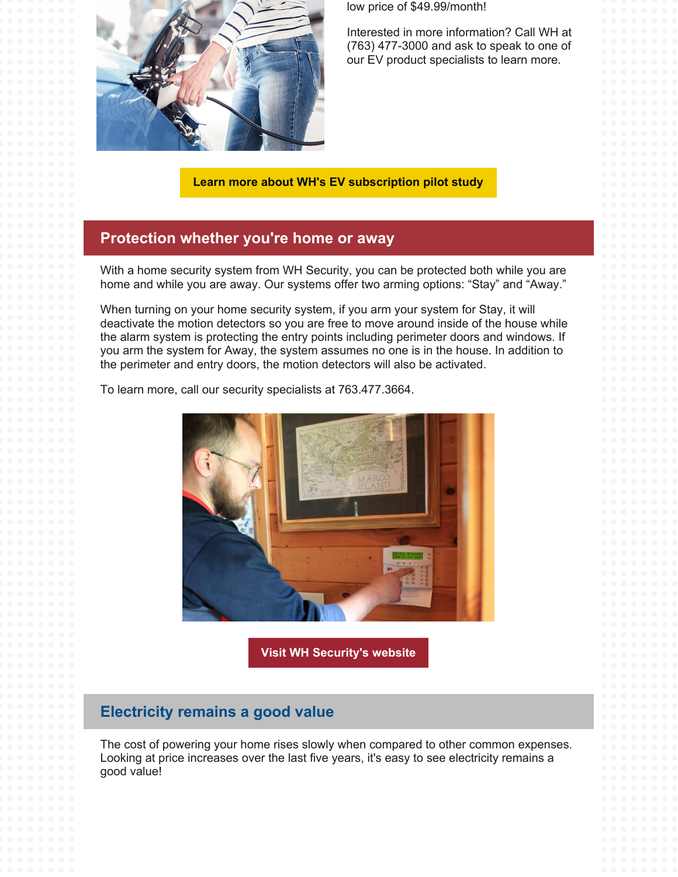

low price of \$49.99/month!

Interested in more information? Call WH at (763) 477-3000 and ask to speak to one of our EV product specialists to learn more.

**Learn more about WH's EV [subscription](https://www.whe.org/energy-savings-rebates/residential-programs-and-rebates/electric-vehicles/electric-vehicle-subscription-pilot-study.html) pilot study**

### **Protection whether you're home or away**

With a home security system from WH Security, you can be protected both while you are home and while you are away. Our systems offer two arming options: "Stay" and "Away."

When turning on your home security system, if you arm your system for Stay, it will deactivate the motion detectors so you are free to move around inside of the house while the alarm system is protecting the entry points including perimeter doors and windows. If you arm the system for Away, the system assumes no one is in the house. In addition to the perimeter and entry doors, the motion detectors will also be activated.

To learn more, call our security specialists at 763.477.3664.



**Visit WH [Security's](https://www.wh-security.com/) website**

### **Electricity remains a good value**

The cost of powering your home rises slowly when compared to other common expenses. Looking at price increases over the last five years, it's easy to see electricity remains a good value!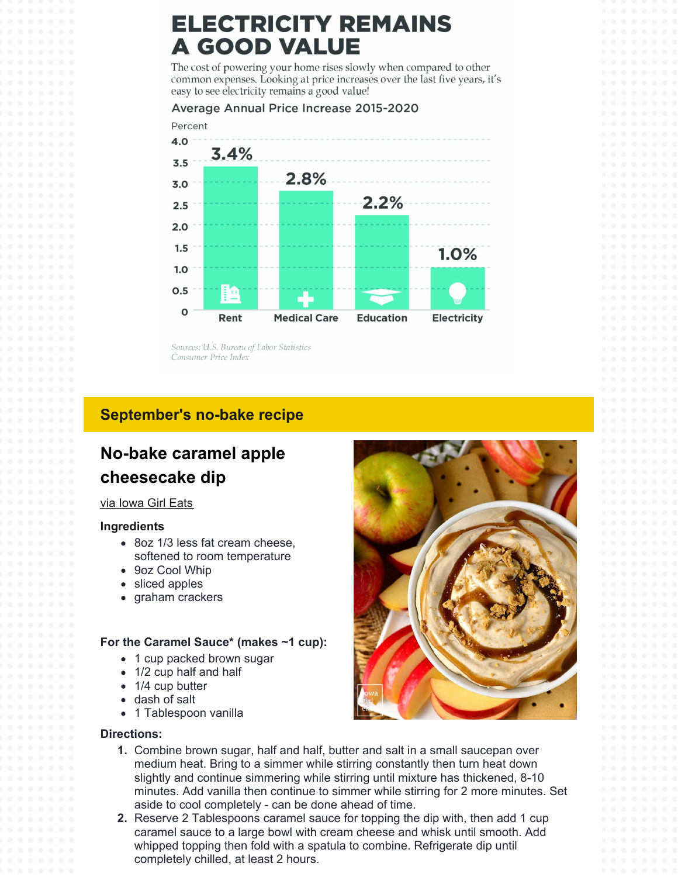# **ELECTRICITY REMAINS A GOOD VALUE**

The cost of powering your home rises slowly when compared to other common expenses. Looking at price increases over the last five years, it's easy to see electricity remains a good value!

#### Average Annual Price Increase 2015-2020



Sources: U.S. Bureau of Labor Statistics Consumer Price Index

### **September's no-bake recipe**

## **No-bake caramel apple cheesecake dip**

#### via [Iowa](https://iowagirleats.com/no-bake-caramel-apple-cheesecake-dip/) Girl Eats

#### **Ingredients**

- 8oz 1/3 less fat cream cheese, softened to room temperature
- 9oz Cool Whip
- sliced apples
- graham crackers

#### **For the Caramel Sauce\* (makes ~1 cup):**

- 1 cup packed brown sugar
- 1/2 cup half and half
- 1/4 cup butter
- dash of salt
- 1 Tablespoon vanilla

#### **Directions:**



- **1.** Combine brown sugar, half and half, butter and salt in a small saucepan over medium heat. Bring to a simmer while stirring constantly then turn heat down slightly and continue simmering while stirring until mixture has thickened, 8-10 minutes. Add vanilla then continue to simmer while stirring for 2 more minutes. Set aside to cool completely - can be done ahead of time.
- **2.** Reserve 2 Tablespoons caramel sauce for topping the dip with, then add 1 cup caramel sauce to a large bowl with cream cheese and whisk until smooth. Add whipped topping then fold with a spatula to combine. Refrigerate dip until completely chilled, at least 2 hours.